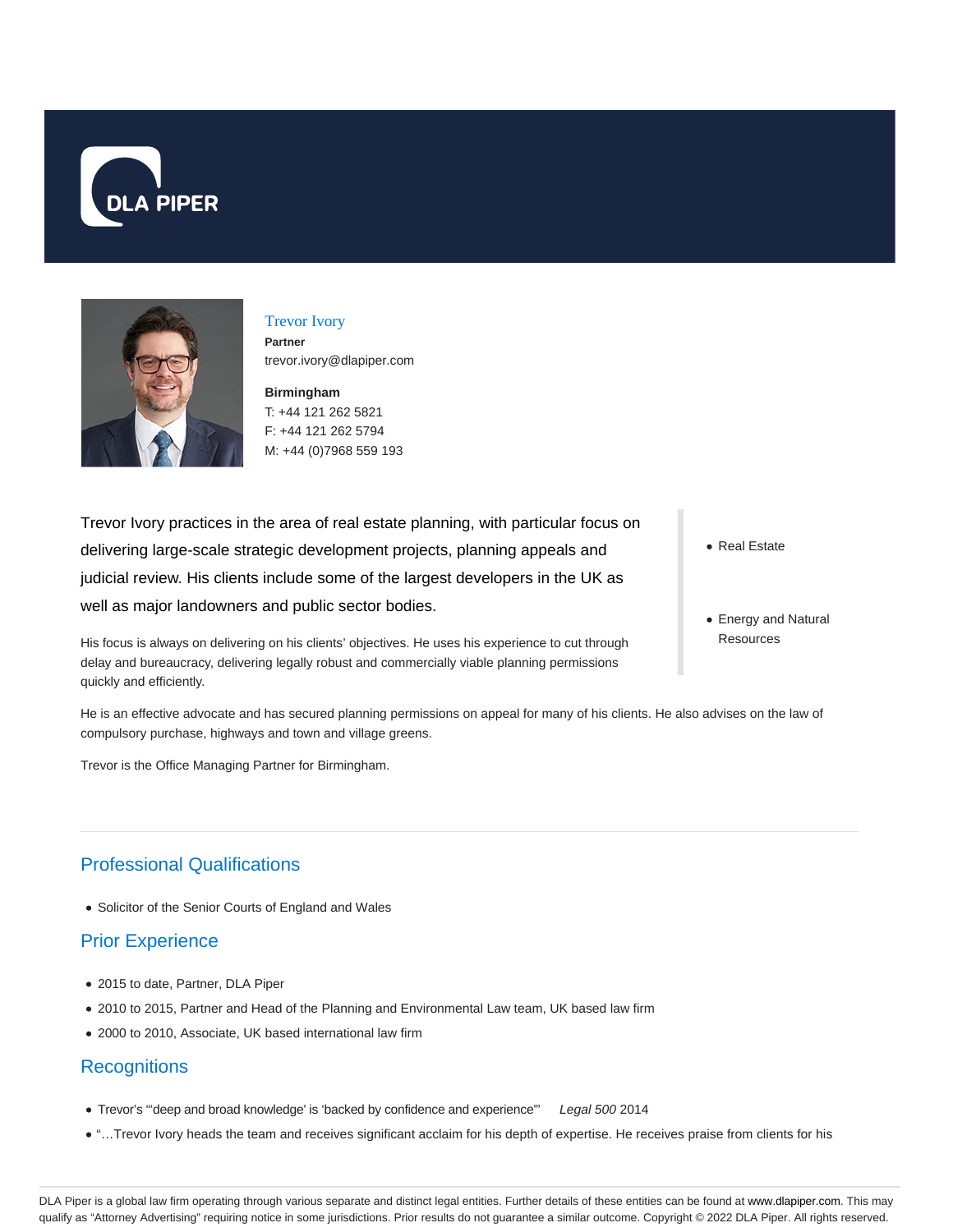



# Trevor Ivory

**Partner** trevor.ivory@dlapiper.com

**Birmingham** T: +44 121 262 5821 F: +44 121 262 5794 M: +44 (0)7968 559 193

Trevor Ivory practices in the area of real estate planning, with particular focus on delivering large-scale strategic development projects, planning appeals and judicial review. His clients include some of the largest developers in the UK as well as major landowners and public sector bodies.

His focus is always on delivering on his clients' objectives. He uses his experience to cut through delay and bureaucracy, delivering legally robust and commercially viable planning permissions quickly and efficiently.

He is an effective advocate and has secured planning permissions on appeal for many of his clients. He also advises on the law of compulsory purchase, highways and town and village greens.

Trevor is the Office Managing Partner for Birmingham.

# Professional Qualifications

Solicitor of the Senior Courts of England and Wales

## Prior Experience

- 2015 to date, Partner, DLA Piper
- 2010 to 2015, Partner and Head of the Planning and Environmental Law team, UK based law firm
- 2000 to 2010, Associate, UK based international law firm

## **Recognitions**

- Trevor's "'deep and broad knowledge' is 'backed by confidence and experience'" Legal 500 2014
- "…Trevor Ivory heads the team and receives significant acclaim for his depth of expertise. He receives praise from clients for his
- Real Estate
- Energy and Natural Resources

DLA Piper is a global law firm operating through various separate and distinct legal entities. Further details of these entities can be found at www.dlapiper.com. This may qualify as "Attorney Advertising" requiring notice in some jurisdictions. Prior results do not guarantee a similar outcome. Copyright @ 2022 DLA Piper. All rights reserved.